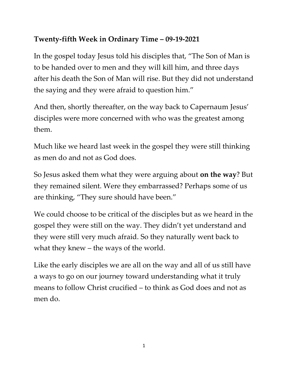## **Twenty-fifth Week in Ordinary Time – 09-19-2021**

In the gospel today Jesus told his disciples that, "The Son of Man is to be handed over to men and they will kill him, and three days after his death the Son of Man will rise. But they did not understand the saying and they were afraid to question him."

And then, shortly thereafter, on the way back to Capernaum Jesus' disciples were more concerned with who was the greatest among them.

Much like we heard last week in the gospel they were still thinking as men do and not as God does.

So Jesus asked them what they were arguing about **on the way**? But they remained silent. Were they embarrassed? Perhaps some of us are thinking, "They sure should have been."

We could choose to be critical of the disciples but as we heard in the gospel they were still on the way. They didn't yet understand and they were still very much afraid. So they naturally went back to what they knew – the ways of the world.

Like the early disciples we are all on the way and all of us still have a ways to go on our journey toward understanding what it truly means to follow Christ crucified – to think as God does and not as men do.